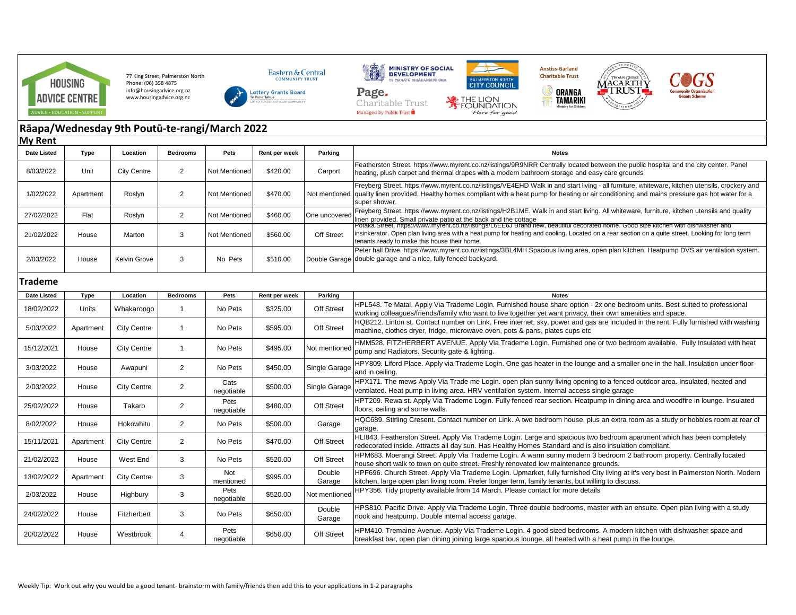

77 King Street, Palmerston North Phone: (06) 358 4875 info@housingadvice.org.nz www.housingadvice.org.nz



**WALE COMMITME** 



Charitable Trust

Managed by Public Trust





 $\circledcirc$ 



## **Rāapa/Wednesday 9th Poutū-te-rangi/March 2022**

| <b>My Rent</b>     |           |                    |                 |                      |               |                   |                                                                                                                                                                                                                                                                                                                                                      |
|--------------------|-----------|--------------------|-----------------|----------------------|---------------|-------------------|------------------------------------------------------------------------------------------------------------------------------------------------------------------------------------------------------------------------------------------------------------------------------------------------------------------------------------------------------|
| <b>Date Listed</b> | Type      | Location           | <b>Bedrooms</b> | Pets                 | Rent per week | Parking           | <b>Notes</b>                                                                                                                                                                                                                                                                                                                                         |
| 8/03/2022          | Unit      | <b>City Centre</b> | 2               | Not Mentioned        | \$420.00      | Carport           | Featherston Street. https://www.myrent.co.nz/listings/9R9NRR Centrally located between the public hospital and the city center. Panel<br>heating, plush carpet and thermal drapes with a modern bathroom storage and easy care grounds                                                                                                               |
| 1/02/2022          | Apartment | Roslyn             | $\overline{2}$  | <b>Not Mentioned</b> | \$470.00      |                   | Freyberg Street. https://www.myrent.co.nz/listings/VE4EHD Walk in and start living - all furniture, whiteware, kitchen utensils, crockery and<br>Not mentioned quality linen provided. Healthy homes compliant with a heat pump for heating or air conditioning and mains pressure gas hot water for a<br>super shower.                              |
| 27/02/2022         | Flat      | Roslyn             | $\overline{2}$  | Not Mentioned        | \$460.00      | One uncovered     | Freyberg Street. https://www.myrent.co.nz/listings/H2B1ME. Walk in and start living. All whiteware, furniture, kitchen utensils and quality<br>linen provided. Small private patio at the back and the cottage<br>Potaka Street. https://www.myrent.co.nz/listings/LbEEbJ Brand new, beautiful decorated nome. Good size kitchen with dishwasher and |
| 21/02/2022         | House     | Marton             | 3               | Not Mentioned        | \$560.00      | <b>Off Street</b> | insinkerator. Open plan living area with a heat pump for heating and cooling. Located on a rear section on a quite street. Looking for long term<br>tenants ready to make this house their home.                                                                                                                                                     |
| 2/03/2022          | House     | Kelvin Grove       | 3               | No Pets              | \$510.00      | Double Garage     | Peter hall Drive. https://www.myrent.co.nz/listings/3BL4MH Spacious living area, open plan kitchen. Heatpump DVS air ventilation system.<br>double garage and a nice, fully fenced backyard.                                                                                                                                                         |
| Trademe            |           |                    |                 |                      |               |                   |                                                                                                                                                                                                                                                                                                                                                      |
| <b>Date Listed</b> | Type      | Location           | <b>Bedrooms</b> | Pets                 | Rent per week | Parking           | <b>Notes</b>                                                                                                                                                                                                                                                                                                                                         |
| 18/02/2022         | Units     | Whakarongo         | $\overline{1}$  | No Pets              | \$325.00      | Off Street        | HPL548. Te Matai. Apply Via Trademe Login. Furnished house share option - 2x one bedroom units. Best suited to professional<br>working colleagues/friends/family who want to live together yet want privacy, their own amenities and space.                                                                                                          |
| 5/03/2022          | Apartment | <b>City Centre</b> | $\overline{1}$  | No Pets              | \$595.00      | Off Street        | HQB212. Linton st. Contact number on Link. Free internet, sky, power and gas are included in the rent. Fully furnished with washing<br>machine, clothes dryer, fridge, microwave oven, pots & pans, plates cups etc                                                                                                                                  |
| 15/12/2021         | House     | <b>City Centre</b> | $\overline{1}$  | No Pets              | \$495.00      | Not mentioned     | HMM528. FITZHERBERT AVENUE. Apply Via Trademe Login. Furnished one or two bedroom available. Fully Insulated with heat<br>pump and Radiators. Security gate & lighting.                                                                                                                                                                              |
| 3/03/2022          | House     | Awapuni            | $\overline{2}$  | No Pets              | \$450.00      | Single Garage     | HPY809. Liford Place. Apply via Trademe Login. One gas heater in the lounge and a smaller one in the hall. Insulation under floor<br>and in ceiling.                                                                                                                                                                                                 |
| 2/03/2022          | House     | <b>City Centre</b> | $\overline{2}$  | Cats<br>negotiable   | \$500.00      | Single Garage     | HPX171. The mews Apply Via Trade me Login. open plan sunny living opening to a fenced outdoor area. Insulated, heated and<br>ventilated. Heat pump in living area. HRV ventilation system. Internal access single garage                                                                                                                             |
| 25/02/2022         | House     | Takaro             | $\overline{2}$  | Pets<br>negotiable   | \$480.00      | Off Street        | HPT209. Rewa st. Apply Via Trademe Login. Fully fenced rear section. Heatpump in dining area and woodfire in lounge. Insulated<br>floors, ceiling and some walls.                                                                                                                                                                                    |
| 8/02/2022          | House     | Hokowhitu          | $\overline{2}$  | No Pets              | \$500.00      | Garage            | HQC689. Stirling Cresent. Contact number on Link. A two bedroom house, plus an extra room as a study or hobbies room at rear of<br>garage.                                                                                                                                                                                                           |
| 15/11/2021         | Apartment | <b>City Centre</b> | $\overline{2}$  | No Pets              | \$470.00      | Off Street        | HLI843. Featherston Street. Apply Via Trademe Login. Large and spacious two bedroom apartment which has been completely<br>redecorated inside. Attracts all day sun. Has Healthy Homes Standard and is also insulation compliant.                                                                                                                    |
| 21/02/2022         | House     | West End           | 3               | No Pets              | \$520.00      | Off Street        | HPM683. Moerangi Street. Apply Via Trademe Login. A warm sunny modern 3 bedroom 2 bathroom property. Centrally located<br>house short walk to town on quite street. Freshly renovated low maintenance grounds.                                                                                                                                       |
| 13/02/2022         | Apartment | <b>City Centre</b> | 3               | Not<br>mentioned     | \$995.00      | Double<br>Garage  | HPF696. Church Street. Apply Via Trademe Login. Upmarket, fully furnished City living at it's very best in Palmerston North. Modern<br>kitchen, large open plan living room. Prefer longer term, family tenants, but willing to discuss.                                                                                                             |
| 2/03/2022          | House     | Highbury           | 3               | Pets<br>negotiable   | \$520.00      | Not mentioned     | HPY356. Tidy property available from 14 March. Please contact for more details                                                                                                                                                                                                                                                                       |
| 24/02/2022         | House     | Fitzherbert        | 3               | No Pets              | \$650.00      | Double<br>Garage  | HPS810. Pacific Drive. Apply Via Trademe Login. Three double bedrooms, master with an ensuite. Open plan living with a study<br>nook and heatpump. Double internal access garage.                                                                                                                                                                    |
| 20/02/2022         | House     | Westbrook          | 4               | Pets<br>negotiable   | \$650.00      | Off Street        | HPM410. Tremaine Avenue. Apply Via Trademe Login. 4 good sized bedrooms. A modern kitchen with dishwasher space and<br>breakfast bar, open plan dining joining large spacious lounge, all heated with a heat pump in the lounge.                                                                                                                     |